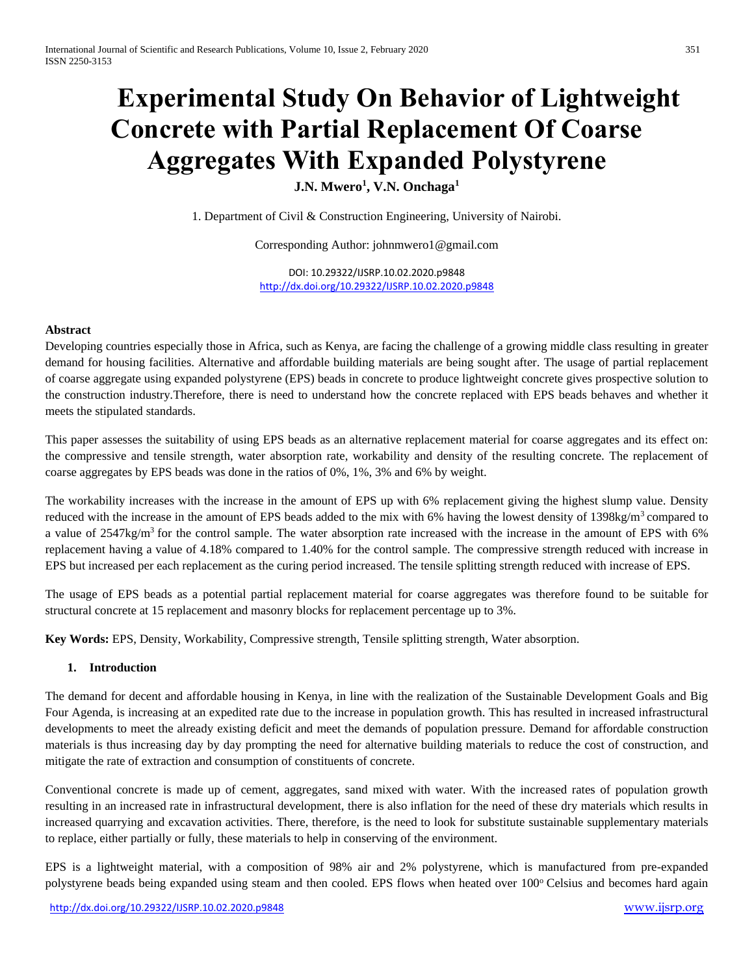# **Experimental Study On Behavior of Lightweight Concrete with Partial Replacement Of Coarse Aggregates With Expanded Polystyrene**

**J.N. Mwero<sup>1</sup> , V.N. Onchaga<sup>1</sup>**

1. Department of Civil & Construction Engineering, University of Nairobi.

Corresponding Author: johnmwero1@gmail.com

DOI: 10.29322/IJSRP.10.02.2020.p9848 <http://dx.doi.org/10.29322/IJSRP.10.02.2020.p9848>

#### **Abstract**

Developing countries especially those in Africa, such as Kenya, are facing the challenge of a growing middle class resulting in greater demand for housing facilities. Alternative and affordable building materials are being sought after. The usage of partial replacement of coarse aggregate using expanded polystyrene (EPS) beads in concrete to produce lightweight concrete gives prospective solution to the construction industry*.*Therefore, there is need to understand how the concrete replaced with EPS beads behaves and whether it meets the stipulated standards.

This paper assesses the suitability of using EPS beads as an alternative replacement material for coarse aggregates and its effect on: the compressive and tensile strength, water absorption rate, workability and density of the resulting concrete. The replacement of coarse aggregates by EPS beads was done in the ratios of 0%, 1%, 3% and 6% by weight.

The workability increases with the increase in the amount of EPS up with 6% replacement giving the highest slump value. Density reduced with the increase in the amount of EPS beads added to the mix with 6% having the lowest density of 1398kg/m<sup>3</sup> compared to a value of 2547kg/m<sup>3</sup> for the control sample. The water absorption rate increased with the increase in the amount of EPS with 6% replacement having a value of 4.18% compared to 1.40% for the control sample. The compressive strength reduced with increase in EPS but increased per each replacement as the curing period increased. The tensile splitting strength reduced with increase of EPS.

The usage of EPS beads as a potential partial replacement material for coarse aggregates was therefore found to be suitable for structural concrete at 15 replacement and masonry blocks for replacement percentage up to 3%.

**Key Words:** EPS, Density, Workability, Compressive strength, Tensile splitting strength, Water absorption.

#### **1. Introduction**

The demand for decent and affordable housing in Kenya, in line with the realization of the Sustainable Development Goals and Big Four Agenda, is increasing at an expedited rate due to the increase in population growth. This has resulted in increased infrastructural developments to meet the already existing deficit and meet the demands of population pressure. Demand for affordable construction materials is thus increasing day by day prompting the need for alternative building materials to reduce the cost of construction, and mitigate the rate of extraction and consumption of constituents of concrete.

Conventional concrete is made up of cement, aggregates, sand mixed with water. With the increased rates of population growth resulting in an increased rate in infrastructural development, there is also inflation for the need of these dry materials which results in increased quarrying and excavation activities. There, therefore, is the need to look for substitute sustainable supplementary materials to replace, either partially or fully, these materials to help in conserving of the environment.

EPS is a lightweight material, with a composition of 98% air and 2% polystyrene, which is manufactured from pre-expanded polystyrene beads being expanded using steam and then cooled. EPS flows when heated over 100° Celsius and becomes hard again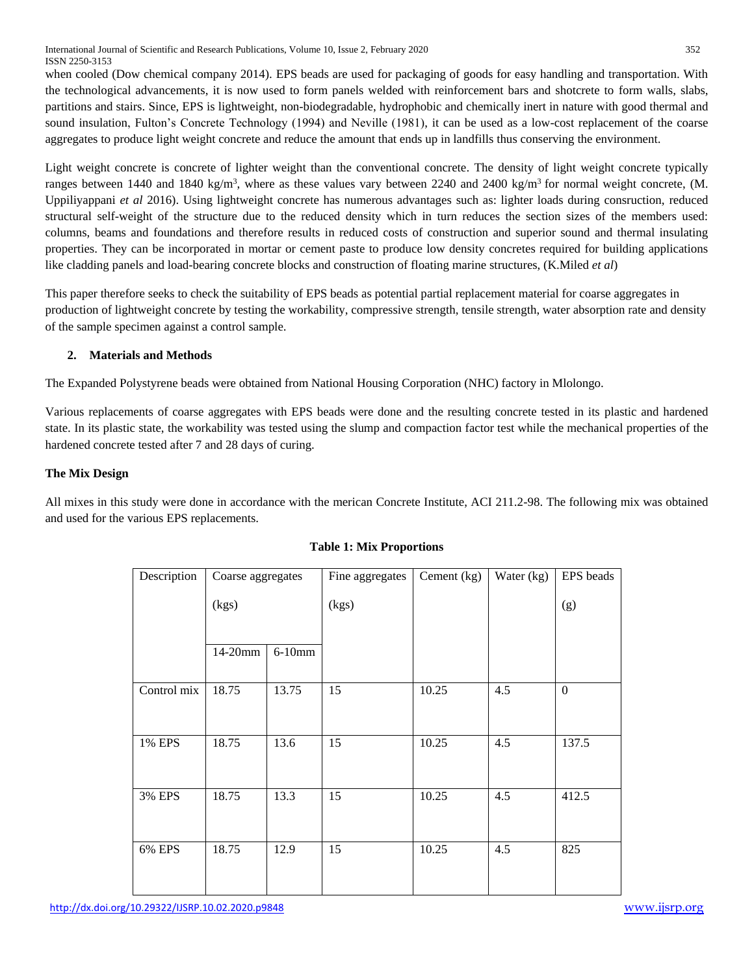when cooled (Dow chemical company 2014). EPS beads are used for packaging of goods for easy handling and transportation. With the technological advancements, it is now used to form panels welded with reinforcement bars and shotcrete to form walls, slabs, partitions and stairs. Since, EPS is lightweight, non-biodegradable, hydrophobic and chemically inert in nature with good thermal and sound insulation, Fulton's Concrete Technology (1994) and Neville (1981), it can be used as a low-cost replacement of the coarse aggregates to produce light weight concrete and reduce the amount that ends up in landfills thus conserving the environment.

Light weight concrete is concrete of lighter weight than the conventional concrete. The density of light weight concrete typically ranges between 1440 and 1840 kg/m<sup>3</sup>, where as these values vary between 2240 and 2400 kg/m<sup>3</sup> for normal weight concrete, (M. Uppiliyappani *et al* 2016). Using lightweight concrete has numerous advantages such as: lighter loads during consruction, reduced structural self-weight of the structure due to the reduced density which in turn reduces the section sizes of the members used: columns, beams and foundations and therefore results in reduced costs of construction and superior sound and thermal insulating properties. They can be incorporated in mortar or cement paste to produce low density concretes required for building applications like cladding panels and load-bearing concrete blocks and construction of floating marine structures, (K.Miled *et al*)

This paper therefore seeks to check the suitability of EPS beads as potential partial replacement material for coarse aggregates in production of lightweight concrete by testing the workability, compressive strength, tensile strength, water absorption rate and density of the sample specimen against a control sample.

# **2. Materials and Methods**

The Expanded Polystyrene beads were obtained from National Housing Corporation (NHC) factory in Mlolongo.

Various replacements of coarse aggregates with EPS beads were done and the resulting concrete tested in its plastic and hardened state. In its plastic state, the workability was tested using the slump and compaction factor test while the mechanical properties of the hardened concrete tested after 7 and 28 days of curing.

# **The Mix Design**

All mixes in this study were done in accordance with the merican Concrete Institute, ACI 211.2-98. The following mix was obtained and used for the various EPS replacements.

| Description | Coarse aggregates |          | Fine aggregates | Cement (kg) | Water (kg) | EPS beads    |
|-------------|-------------------|----------|-----------------|-------------|------------|--------------|
|             | (kgs)             |          | (kgs)           |             |            | (g)          |
|             | 14-20mm           | $6-10mm$ |                 |             |            |              |
| Control mix | 18.75             | 13.75    | 15              | 10.25       | 4.5        | $\mathbf{0}$ |
| 1% EPS      | 18.75             | 13.6     | 15              | 10.25       | 4.5        | 137.5        |
| 3% EPS      | 18.75             | 13.3     | 15              | 10.25       | 4.5        | 412.5        |
| 6% EPS      | 18.75             | 12.9     | 15              | 10.25       | 4.5        | 825          |

# **Table 1: Mix Proportions**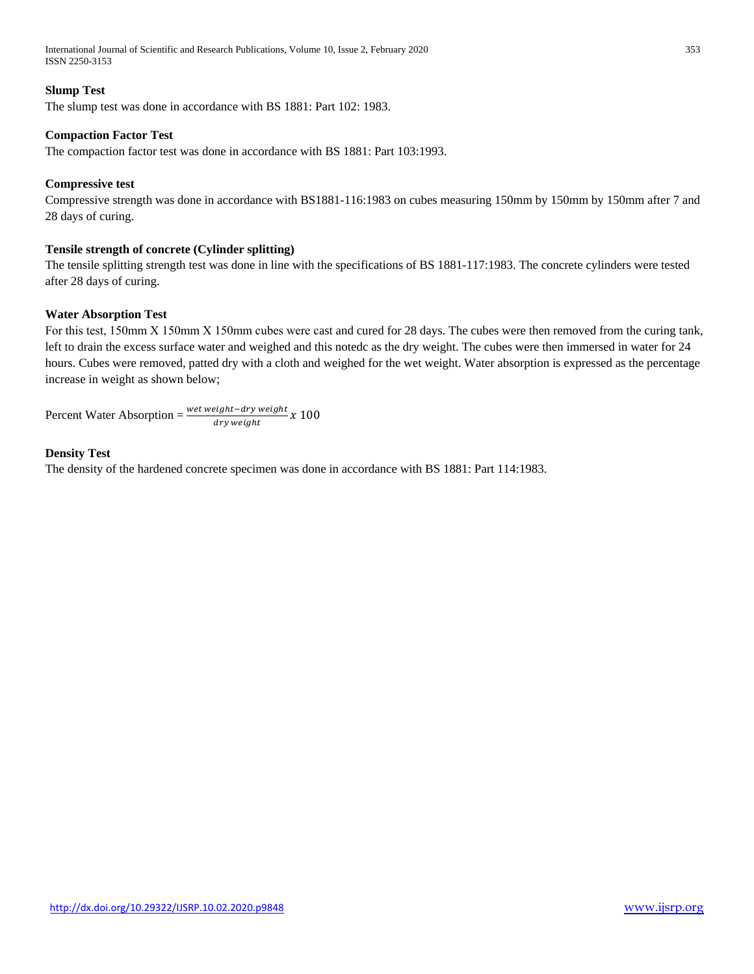International Journal of Scientific and Research Publications, Volume 10, Issue 2, February 2020 353 ISSN 2250-3153

## **Slump Test**

The slump test was done in accordance with BS 1881: Part 102: 1983.

## **Compaction Factor Test**

The compaction factor test was done in accordance with BS 1881: Part 103:1993.

#### **Compressive test**

Compressive strength was done in accordance with BS1881-116:1983 on cubes measuring 150mm by 150mm by 150mm after 7 and 28 days of curing.

## **Tensile strength of concrete (Cylinder splitting)**

The tensile splitting strength test was done in line with the specifications of BS 1881-117:1983. The concrete cylinders were tested after 28 days of curing.

#### **Water Absorption Test**

For this test, 150mm X 150mm X 150mm cubes were cast and cured for 28 days. The cubes were then removed from the curing tank, left to drain the excess surface water and weighed and this notedc as the dry weight. The cubes were then immersed in water for 24 hours. Cubes were removed, patted dry with a cloth and weighed for the wet weight. Water absorption is expressed as the percentage increase in weight as shown below;

Percent Water Absorption =  $\frac{w_{\text{et weight} - dry \text{ weight}}}{d w_{\text{turb}} + d t} x 100$ dry weight

## **Density Test**

The density of the hardened concrete specimen was done in accordance with BS 1881: Part 114:1983.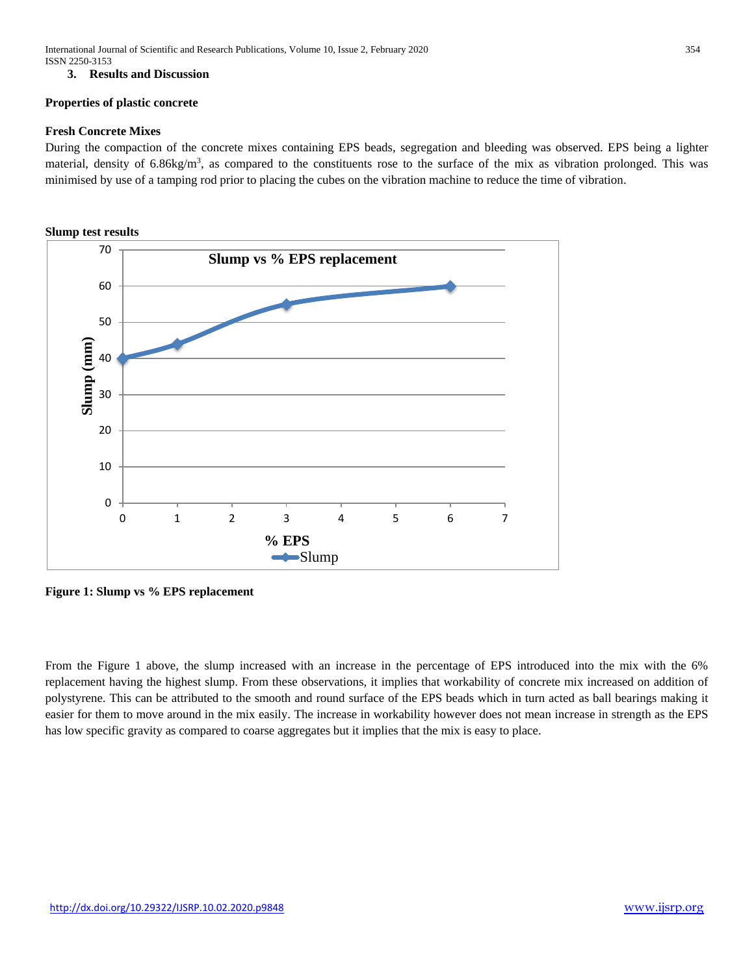## **3. Results and Discussion**

#### **Properties of plastic concrete**

## **Fresh Concrete Mixes**

During the compaction of the concrete mixes containing EPS beads, segregation and bleeding was observed. EPS being a lighter material, density of 6.86kg/m<sup>3</sup>, as compared to the constituents rose to the surface of the mix as vibration prolonged. This was minimised by use of a tamping rod prior to placing the cubes on the vibration machine to reduce the time of vibration.



**Figure 1: Slump vs % EPS replacement**

From the Figure 1 above, the slump increased with an increase in the percentage of EPS introduced into the mix with the 6% replacement having the highest slump. From these observations, it implies that workability of concrete mix increased on addition of polystyrene. This can be attributed to the smooth and round surface of the EPS beads which in turn acted as ball bearings making it easier for them to move around in the mix easily. The increase in workability however does not mean increase in strength as the EPS has low specific gravity as compared to coarse aggregates but it implies that the mix is easy to place.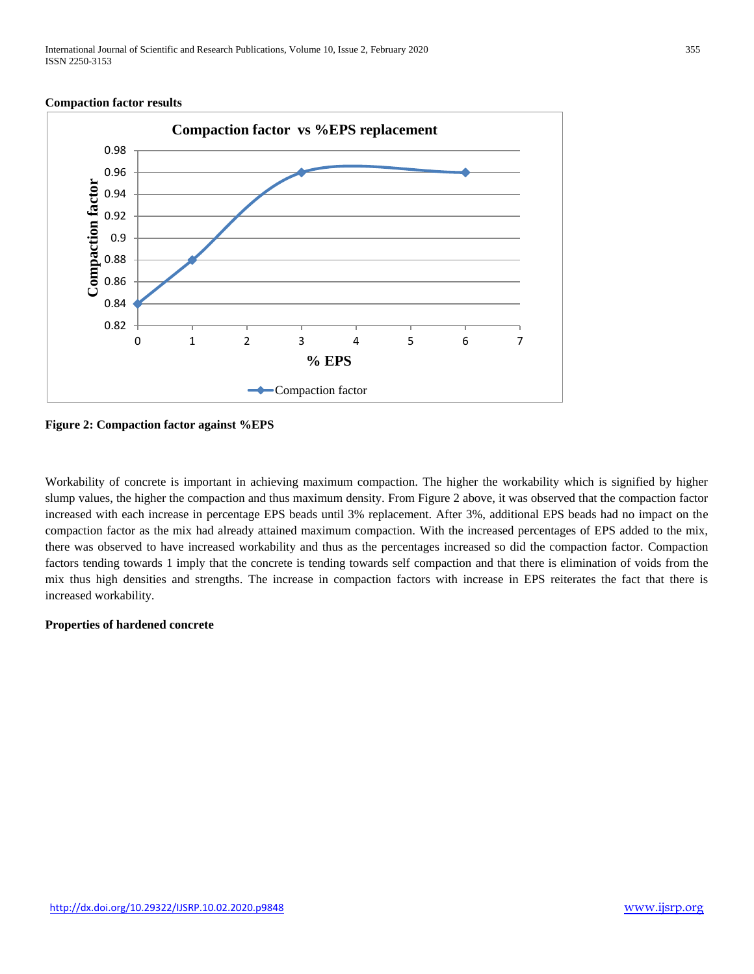International Journal of Scientific and Research Publications, Volume 10, Issue 2, February 2020 355 ISSN 2250-3153

#### **Compaction factor results**



**Figure 2: Compaction factor against %EPS**

Workability of concrete is important in achieving maximum compaction. The higher the workability which is signified by higher slump values, the higher the compaction and thus maximum density. From Figure 2 above, it was observed that the compaction factor increased with each increase in percentage EPS beads until 3% replacement. After 3%, additional EPS beads had no impact on the compaction factor as the mix had already attained maximum compaction. With the increased percentages of EPS added to the mix, there was observed to have increased workability and thus as the percentages increased so did the compaction factor. Compaction factors tending towards 1 imply that the concrete is tending towards self compaction and that there is elimination of voids from the mix thus high densities and strengths. The increase in compaction factors with increase in EPS reiterates the fact that there is increased workability.

#### **Properties of hardened concrete**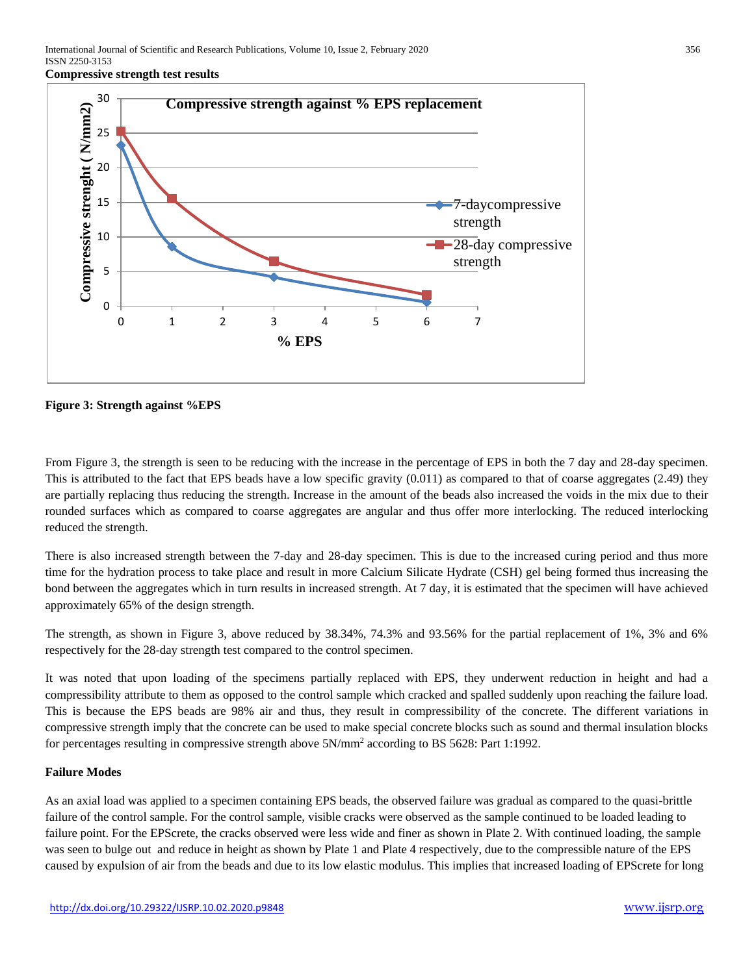**Compressive strength test results**



**Figure 3: Strength against %EPS**

From Figure 3, the strength is seen to be reducing with the increase in the percentage of EPS in both the 7 day and 28-day specimen. This is attributed to the fact that EPS beads have a low specific gravity (0.011) as compared to that of coarse aggregates (2.49) they are partially replacing thus reducing the strength. Increase in the amount of the beads also increased the voids in the mix due to their rounded surfaces which as compared to coarse aggregates are angular and thus offer more interlocking. The reduced interlocking reduced the strength.

There is also increased strength between the 7-day and 28-day specimen. This is due to the increased curing period and thus more time for the hydration process to take place and result in more Calcium Silicate Hydrate (CSH) gel being formed thus increasing the bond between the aggregates which in turn results in increased strength. At 7 day, it is estimated that the specimen will have achieved approximately 65% of the design strength.

The strength, as shown in Figure 3, above reduced by 38.34%, 74.3% and 93.56% for the partial replacement of 1%, 3% and 6% respectively for the 28-day strength test compared to the control specimen.

It was noted that upon loading of the specimens partially replaced with EPS, they underwent reduction in height and had a compressibility attribute to them as opposed to the control sample which cracked and spalled suddenly upon reaching the failure load. This is because the EPS beads are 98% air and thus, they result in compressibility of the concrete. The different variations in compressive strength imply that the concrete can be used to make special concrete blocks such as sound and thermal insulation blocks for percentages resulting in compressive strength above  $5N/mm^2$  according to BS 5628: Part 1:1992.

#### **Failure Modes**

As an axial load was applied to a specimen containing EPS beads, the observed failure was gradual as compared to the quasi-brittle failure of the control sample. For the control sample, visible cracks were observed as the sample continued to be loaded leading to failure point. For the EPScrete, the cracks observed were less wide and finer as shown in Plate 2. With continued loading, the sample was seen to bulge out and reduce in height as shown by Plate 1 and Plate 4 respectively, due to the compressible nature of the EPS caused by expulsion of air from the beads and due to its low elastic modulus. This implies that increased loading of EPScrete for long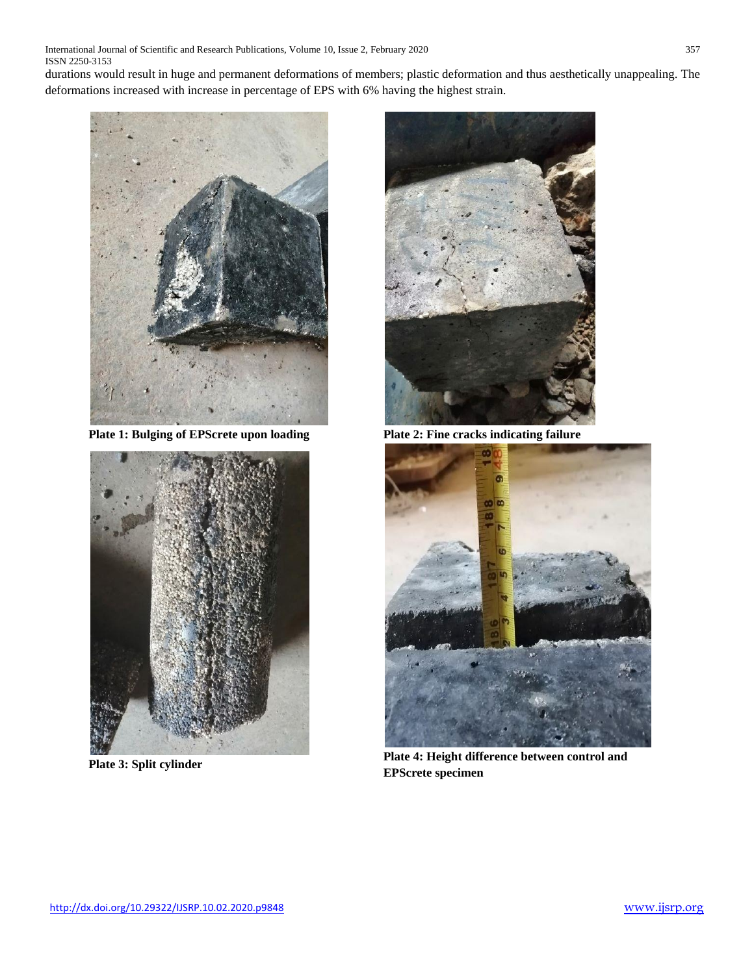International Journal of Scientific and Research Publications, Volume 10, Issue 2, February 2020 357 ISSN 2250-3153

durations would result in huge and permanent deformations of members; plastic deformation and thus aesthetically unappealing. The deformations increased with increase in percentage of EPS with 6% having the highest strain.



**Plate 1: Bulging of EPScrete upon loading Plate 2: Fine cracks indicating failure**







**Plate 4: Height difference between control and <b>Plate 3: Split cylinder Plate 4: Height difference between control and EPScrete specimen**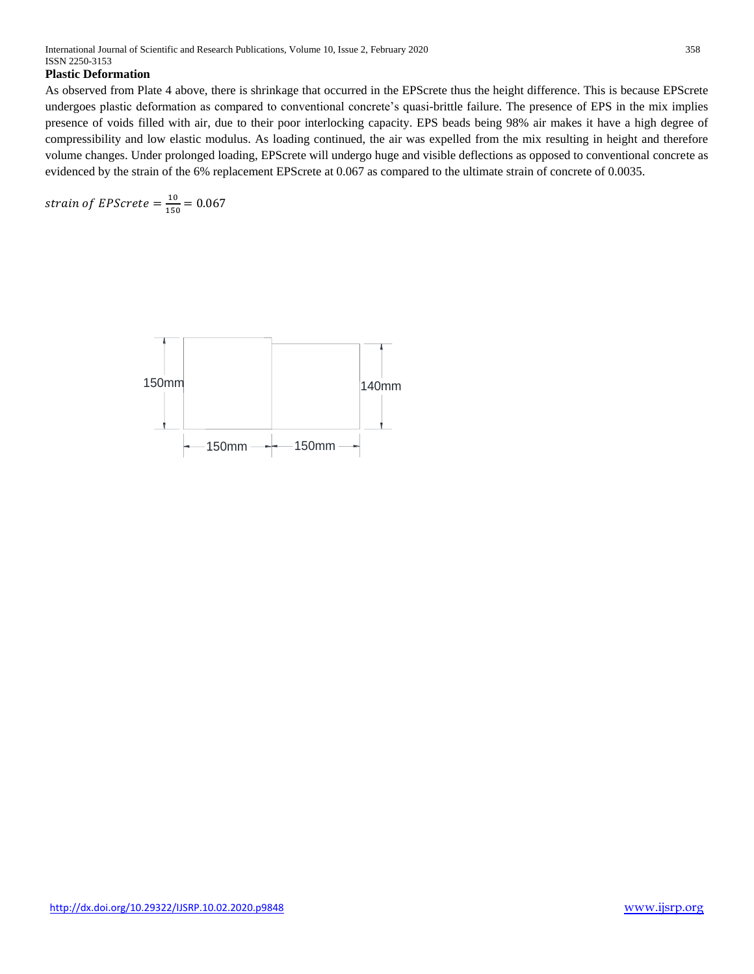## **Plastic Deformation**

As observed from Plate 4 above, there is shrinkage that occurred in the EPScrete thus the height difference. This is because EPScrete undergoes plastic deformation as compared to conventional concrete's quasi-brittle failure. The presence of EPS in the mix implies presence of voids filled with air, due to their poor interlocking capacity. EPS beads being 98% air makes it have a high degree of compressibility and low elastic modulus. As loading continued, the air was expelled from the mix resulting in height and therefore volume changes. Under prolonged loading, EPScrete will undergo huge and visible deflections as opposed to conventional concrete as evidenced by the strain of the 6% replacement EPScrete at 0.067 as compared to the ultimate strain of concrete of 0.0035.

strain of EPScrete =  $\frac{10}{150}$  $\frac{10}{150}$  = 0.067

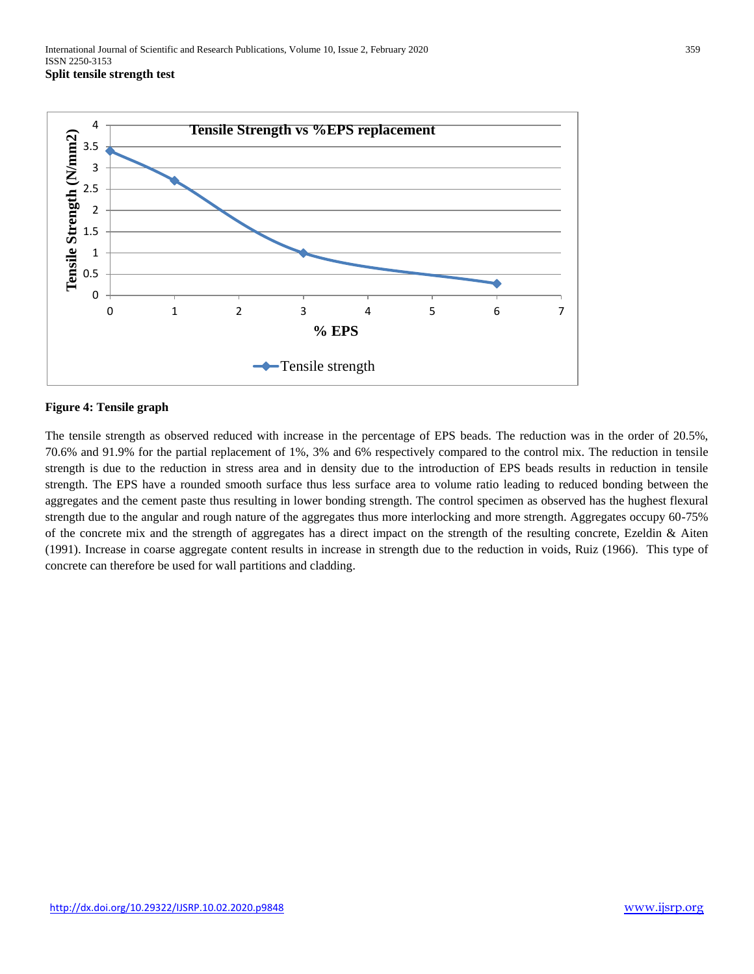

## **Figure 4: Tensile graph**

The tensile strength as observed reduced with increase in the percentage of EPS beads. The reduction was in the order of 20.5%, 70.6% and 91.9% for the partial replacement of 1%, 3% and 6% respectively compared to the control mix. The reduction in tensile strength is due to the reduction in stress area and in density due to the introduction of EPS beads results in reduction in tensile strength. The EPS have a rounded smooth surface thus less surface area to volume ratio leading to reduced bonding between the aggregates and the cement paste thus resulting in lower bonding strength. The control specimen as observed has the hughest flexural strength due to the angular and rough nature of the aggregates thus more interlocking and more strength. Aggregates occupy 60-75% of the concrete mix and the strength of aggregates has a direct impact on the strength of the resulting concrete, Ezeldin & Aiten (1991). Increase in coarse aggregate content results in increase in strength due to the reduction in voids, Ruiz (1966). This type of concrete can therefore be used for wall partitions and cladding.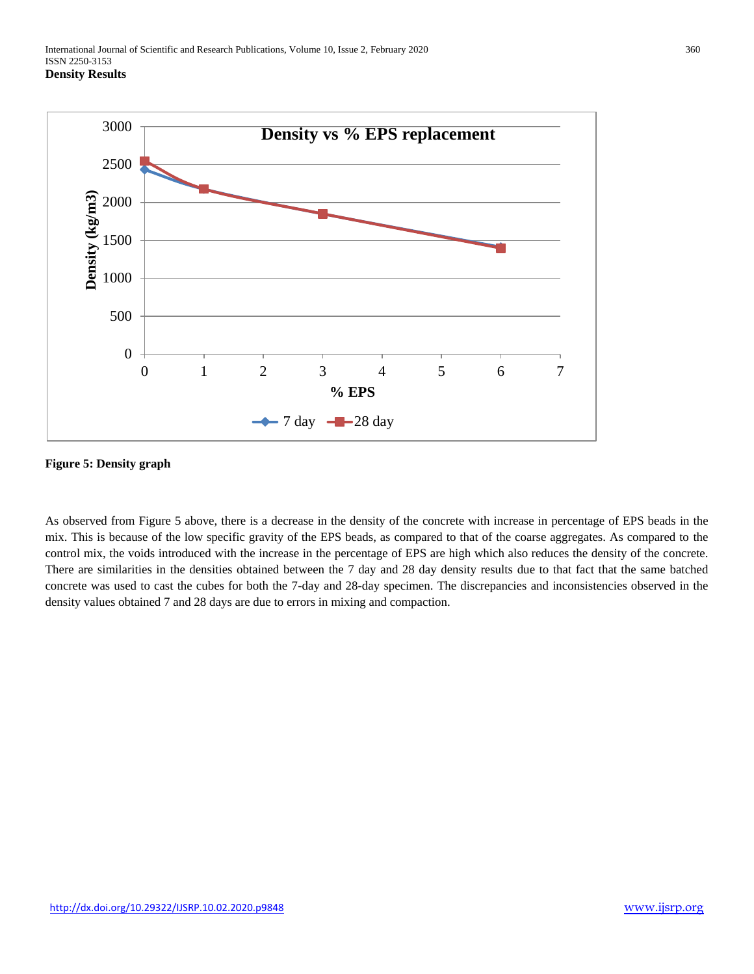

## **Figure 5: Density graph**

As observed from Figure 5 above, there is a decrease in the density of the concrete with increase in percentage of EPS beads in the mix. This is because of the low specific gravity of the EPS beads, as compared to that of the coarse aggregates. As compared to the control mix, the voids introduced with the increase in the percentage of EPS are high which also reduces the density of the concrete. There are similarities in the densities obtained between the 7 day and 28 day density results due to that fact that the same batched concrete was used to cast the cubes for both the 7-day and 28-day specimen. The discrepancies and inconsistencies observed in the density values obtained 7 and 28 days are due to errors in mixing and compaction.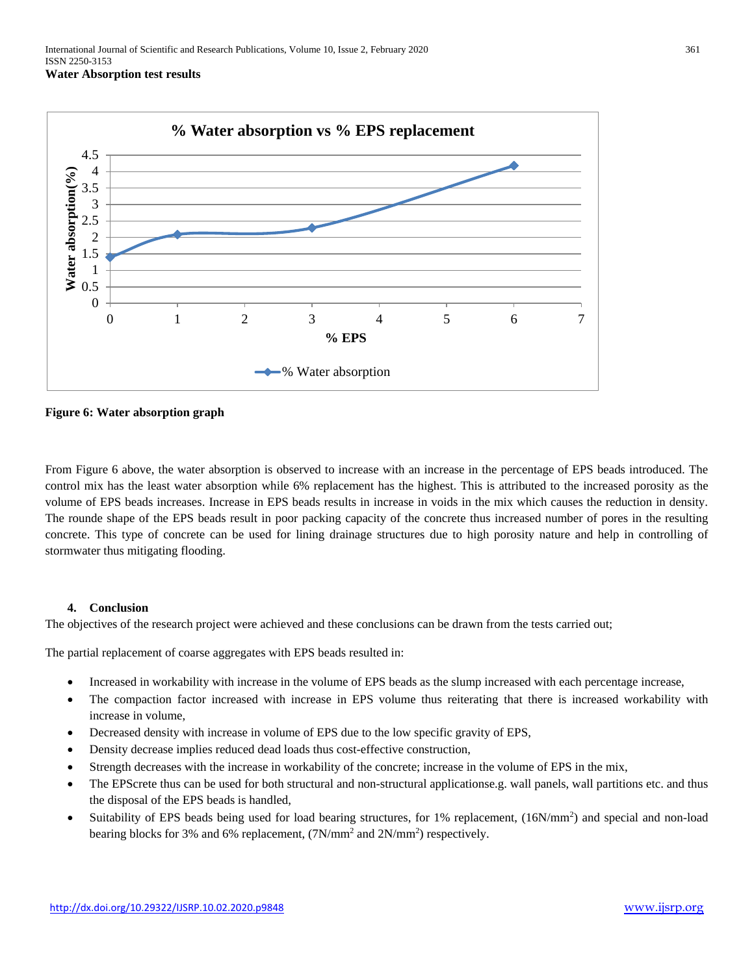

**Figure 6: Water absorption graph**

From Figure 6 above, the water absorption is observed to increase with an increase in the percentage of EPS beads introduced. The control mix has the least water absorption while 6% replacement has the highest. This is attributed to the increased porosity as the volume of EPS beads increases. Increase in EPS beads results in increase in voids in the mix which causes the reduction in density. The rounde shape of the EPS beads result in poor packing capacity of the concrete thus increased number of pores in the resulting concrete. This type of concrete can be used for lining drainage structures due to high porosity nature and help in controlling of stormwater thus mitigating flooding.

## **4. Conclusion**

The objectives of the research project were achieved and these conclusions can be drawn from the tests carried out;

The partial replacement of coarse aggregates with EPS beads resulted in:

- Increased in workability with increase in the volume of EPS beads as the slump increased with each percentage increase,
- The compaction factor increased with increase in EPS volume thus reiterating that there is increased workability with increase in volume,
- Decreased density with increase in volume of EPS due to the low specific gravity of EPS,
- Density decrease implies reduced dead loads thus cost-effective construction,
- Strength decreases with the increase in workability of the concrete; increase in the volume of EPS in the mix,
- The EPScrete thus can be used for both structural and non-structural applicationse.g. wall panels, wall partitions etc. and thus the disposal of the EPS beads is handled,
- Suitability of EPS beads being used for load bearing structures, for 1% replacement, (16N/mm<sup>2</sup>) and special and non-load bearing blocks for 3% and 6% replacement,  $(7N/mm^2$  and  $2N/mm^2$ ) respectively.